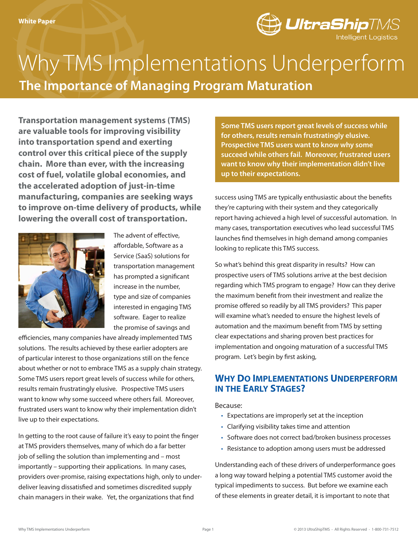

# **The Importance of Managing Program Maturation** Why TMS Implementations Underperform

**Transportation management systems (TMS) are valuable tools for improving visibility into transportation spend and exerting control over this critical piece of the supply chain. More than ever, with the increasing cost of fuel, volatile global economies, and the accelerated adoption of just-in-time manufacturing, companies are seeking ways to improve on-time delivery of products, while lowering the overall cost of transportation.**



The advent of effective, affordable, Software as a Service (SaaS) solutions for transportation management has prompted a significant increase in the number, type and size of companies interested in engaging TMS software. Eager to realize the promise of savings and

efficiencies, many companies have already implemented TMS solutions. The results achieved by these earlier adopters are of particular interest to those organizations still on the fence about whether or not to embrace TMS as a supply chain strategy. Some TMS users report great levels of success while for others, results remain frustratingly elusive. Prospective TMS users want to know why some succeed where others fail. Moreover, frustrated users want to know why their implementation didn't live up to their expectations.

In getting to the root cause of failure it's easy to point the finger at TMS providers themselves, many of which do a far better job of selling the solution than implementing and – most importantly – supporting their applications. In many cases, providers over-promise, raising expectations high, only to underdeliver leaving dissatisfied and sometimes discredited supply chain managers in their wake. Yet, the organizations that find

**Some TMS users report great levels of success while for others, results remain frustratingly elusive. Prospective TMS users want to know why some succeed while others fail. Moreover, frustrated users want to know why their implementation didn't live up to their expectations.**

success using TMS are typically enthusiastic about the benefits they're capturing with their system and they categorically report having achieved a high level of successful automation. In many cases, transportation executives who lead successful TMS launches find themselves in high demand among companies looking to replicate this TMS success.

So what's behind this great disparity in results? How can prospective users of TMS solutions arrive at the best decision regarding which TMS program to engage? How can they derive the maximum benefit from their investment and realize the promise offered so readily by all TMS providers? This paper will examine what's needed to ensure the highest levels of automation and the maximum benefit from TMS by setting clear expectations and sharing proven best practices for implementation and ongoing maturation of a successful TMS program. Let's begin by first asking,

## **Why Do Implementations Underperform in the Early Stages?**

Because:

- Expectations are improperly set at the inception
- Clarifying visibility takes time and attention
- Software does not correct bad/broken business processes
- Resistance to adoption among users must be addressed

Understanding each of these drivers of underperformance goes a long way toward helping a potential TMS customer avoid the typical impediments to success. But before we examine each of these elements in greater detail, it is important to note that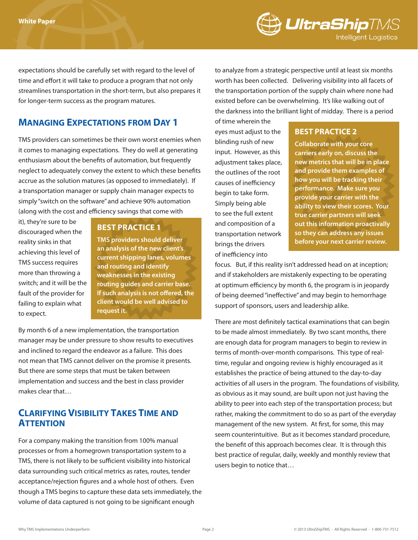

expectations should be carefully set with regard to the level of time and effort it will take to produce a program that not only streamlines transportation in the short-term, but also prepares it for longer-term success as the program matures.

## **Managing Expectations from Day 1**

TMS providers can sometimes be their own worst enemies when it comes to managing expectations. They do well at generating enthusiasm about the benefits of automation, but frequently neglect to adequately convey the extent to which these benefits accrue as the solution matures (as opposed to immediately). If a transportation manager or supply chain manager expects to simply "switch on the software" and achieve 90% automation (along with the cost and efficiency savings that come with

it), they're sure to be discouraged when the reality sinks in that achieving this level of TMS success requires more than throwing a switch; and it will be the fault of the provider for failing to explain what to expect.

#### **BEST PRACTICE 1**

**TMS providers should deliver an analysis of the new client's current shipping lanes, volumes and routing and identify weaknesses in the existing routing guides and carrier base. If such analysis is not offered, the client would be well advised to request it.**

By month 6 of a new implementation, the transportation manager may be under pressure to show results to executives and inclined to regard the endeavor as a failure. This does not mean that TMS cannot deliver on the promise it presents. But there are some steps that must be taken between implementation and success and the best in class provider makes clear that…

## **Clarifying Visibility Takes Time and Attention**

For a company making the transition from 100% manual processes or from a homegrown transportation system to a TMS, there is not likely to be sufficient visibility into historical data surrounding such critical metrics as rates, routes, tender acceptance/rejection figures and a whole host of others. Even though a TMS begins to capture these data sets immediately, the volume of data captured is not going to be significant enough

to analyze from a strategic perspective until at least six months worth has been collected. Delivering visibility into all facets of the transportation portion of the supply chain where none had existed before can be overwhelming. It's like walking out of the darkness into the brilliant light of midday. There is a period

of time wherein the eyes must adjust to the blinding rush of new input. However, as this adjustment takes place, the outlines of the root causes of inefficiency begin to take form. Simply being able to see the full extent and composition of a transportation network brings the drivers of inefficiency into

#### **BEST PRACTICE 2**

**Collaborate with your core carriers early on, discuss the new metrics that will be in place and provide them examples of how you will be tracking their performance. Make sure you provide your carrier with the ability to view their scores. Your true carrier partners will seek out this information proactivally so they can address any issues before your next carrier review.**

focus. But, if this reality isn't addressed head on at inception; and if stakeholders are mistakenly expecting to be operating at optimum efficiency by month 6, the program is in jeopardy of being deemed "ineffective" and may begin to hemorrhage support of sponsors, users and leadership alike.

There are most definitely tactical examinations that can begin to be made almost immediately. By two scant months, there are enough data for program managers to begin to review in terms of month-over-month comparisons. This type of realtime, regular and ongoing review is highly encouraged as it establishes the practice of being attuned to the day-to-day activities of all users in the program. The foundations of visibility, as obvious as it may sound, are built upon not just having the ability to peer into each step of the transportation process; but rather, making the commitment to do so as part of the everyday management of the new system. At first, for some, this may seem counterintuitive. But as it becomes standard procedure, the benefit of this approach becomes clear. It is through this best practice of regular, daily, weekly and monthly review that users begin to notice that…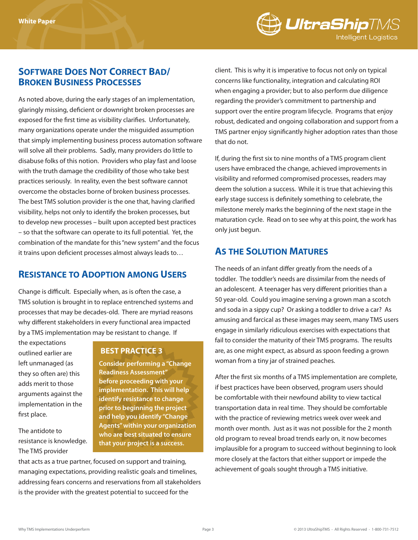

## **Software Does Not Correct Bad/ Broken Business Processes**

As noted above, during the early stages of an implementation, glaringly missing, deficient or downright broken processes are exposed for the first time as visibility clarifies. Unfortunately, many organizations operate under the misguided assumption that simply implementing business process automation software will solve all their problems. Sadly, many providers do little to disabuse folks of this notion. Providers who play fast and loose with the truth damage the credibility of those who take best practices seriously. In reality, even the best software cannot overcome the obstacles borne of broken business processes. The best TMS solution provider is the one that, having clarified visibility, helps not only to identify the broken processes, but to develop new processes – built upon accepted best practices – so that the software can operate to its full potential. Yet, the combination of the mandate for this "new system" and the focus it trains upon deficient processes almost always leads to…

## **Resistance to Adoption among Users**

Change is difficult. Especially when, as is often the case, a TMS solution is brought in to replace entrenched systems and processes that may be decades-old. There are myriad reasons why different stakeholders in every functional area impacted by a TMS implementation may be resistant to change. If

the expectations outlined earlier are left unmanaged (as they so often are) this adds merit to those arguments against the implementation in the first place.

The antidote to resistance is knowledge. The TMS provider

### **BEST PRACTICE 3**

**Consider performing a "Change Readiness Assessment" before proceeding with your implementation. This will help identify resistance to change prior to beginning the project and help you identify "Change Agents" within your organization who are best situated to ensure that your project is a success.**

that acts as a true partner, focused on support and training, managing expectations, providing realistic goals and timelines, addressing fears concerns and reservations from all stakeholders is the provider with the greatest potential to succeed for the

client. This is why it is imperative to focus not only on typical concerns like functionality, integration and calculating ROI when engaging a provider; but to also perform due diligence regarding the provider's commitment to partnership and support over the entire program lifecycle. Programs that enjoy robust, dedicated and ongoing collaboration and support from a TMS partner enjoy significantly higher adoption rates than those that do not.

If, during the first six to nine months of a TMS program client users have embraced the change, achieved improvements in visibility and reformed compromised processes, readers may deem the solution a success. While it is true that achieving this early stage success is definitely something to celebrate, the milestone merely marks the beginning of the next stage in the maturation cycle. Read on to see why at this point, the work has only just begun.

## **As the Solution Matures**

The needs of an infant differ greatly from the needs of a toddler. The toddler's needs are dissimilar from the needs of an adolescent. A teenager has very different priorities than a 50 year-old. Could you imagine serving a grown man a scotch and soda in a sippy cup? Or asking a toddler to drive a car? As amusing and farcical as these images may seem, many TMS users engage in similarly ridiculous exercises with expectations that fail to consider the maturity of their TMS programs. The results are, as one might expect, as absurd as spoon feeding a grown woman from a tiny jar of strained peaches.

After the first six months of a TMS implementation are complete, if best practices have been observed, program users should be comfortable with their newfound ability to view tactical transportation data in real time. They should be comfortable with the practice of reviewing metrics week over week and month over month. Just as it was not possible for the 2 month old program to reveal broad trends early on, it now becomes implausible for a program to succeed without beginning to look more closely at the factors that either support or impede the achievement of goals sought through a TMS initiative.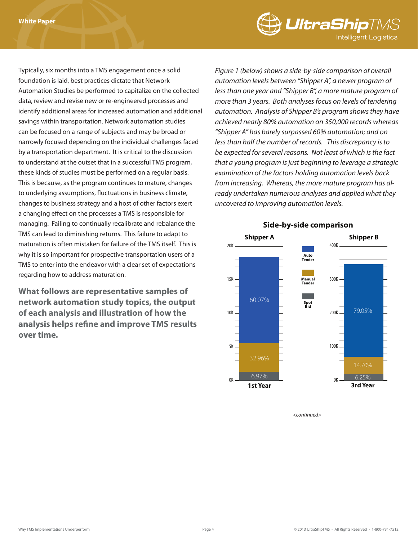

Typically, six months into a TMS engagement once a solid foundation is laid, best practices dictate that Network Automation Studies be performed to capitalize on the collected data, review and revise new or re-engineered processes and identify additional areas for increased automation and additional savings within transportation. Network automation studies can be focused on a range of subjects and may be broad or narrowly focused depending on the individual challenges faced by a transportation department. It is critical to the discussion to understand at the outset that in a successful TMS program, these kinds of studies must be performed on a regular basis. This is because, as the program continues to mature, changes to underlying assumptions, fluctuations in business climate, changes to business strategy and a host of other factors exert a changing effect on the processes a TMS is responsible for managing. Failing to continually recalibrate and rebalance the TMS can lead to diminishing returns. This failure to adapt to maturation is often mistaken for failure of the TMS itself. This is why it is so important for prospective transportation users of a TMS to enter into the endeavor with a clear set of expectations regarding how to address maturation.

**What follows are representative samples of network automation study topics, the output of each analysis and illustration of how the analysis helps refine and improve TMS results over time.** 

*Figure 1 (below) shows a side-by-side comparison of overall automation levels between "Shipper A", a newer program of less than one year and "Shipper B", a more mature program of more than 3 years. Both analyses focus on levels of tendering automation. Analysis of Shipper B's program shows they have achieved nearly 80% automation on 350,000 records whereas "Shipper A" has barely surpassed 60% automation; and on less than half the number of records. This discrepancy is to be expected for several reasons. Not least of which is the fact that a young program is just beginning to leverage a strategic examination of the factors holding automation levels back from increasing. Whereas, the more mature program has already undertaken numerous analyses and applied what they uncovered to improving automation levels.*



### **Side-by-side comparison**

*<continued>*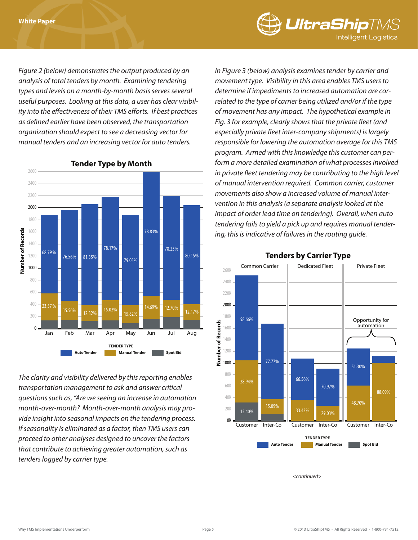

*Figure 2 (below) demonstrates the output produced by an analysis of total tenders by month. Examining tendering types and levels on a month-by-month basis serves several useful purposes. Looking at this data, a user has clear visibility into the effectiveness of their TMS efforts. If best practices as defined earlier have been observed, the transportation organization should expect to see a decreasing vector for manual tenders and an increasing vector for auto tenders.* 



**Tender Type by Month**

*The clarity and visibility delivered by this reporting enables transportation management to ask and answer critical questions such as, "Are we seeing an increase in automation month-over-month? Month-over-month analysis may provide insight into seasonal impacts on the tendering process. If seasonality is eliminated as a factor, then TMS users can proceed to other analyses designed to uncover the factors that contribute to achieving greater automation, such as tenders logged by carrier type.* 

*In Figure 3 (below) analysis examines tender by carrier and movement type. Visibility in this area enables TMS users to determine if impediments to increased automation are correlated to the type of carrier being utilized and/or if the type of movement has any impact. The hypothetical example in Fig. 3 for example, clearly shows that the private fleet (and especially private fleet inter-company shipments) is largely responsible for lowering the automation average for this TMS program. Armed with this knowledge this customer can perform a more detailed examination of what processes involved in private fleet tendering may be contributing to the high level of manual intervention required. Common carrier, customer movements also show a increased volume of manual intervention in this analysis (a separate analysis looked at the impact of order lead time on tendering). Overall, when auto tendering fails to yield a pick up and requires manual tendering, this is indicative of failures in the routing guide.* 



#### **Tenders by Carrier Type**

*<continued>*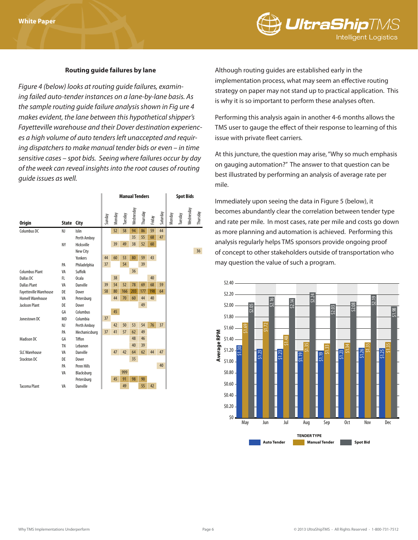

#### **Routing guide failures by lane**

*Figure 4 (below) looks at routing guide failures, examining failed auto-tender instances on a lane-by-lane basis. As the sample routing guide failure analysis shown in Fig ure 4 makes evident, the lane between this hypothetical shipper's Fayetteville warehouse and their Dover destination experiences a high volume of auto tenders left unaccepted and requiring dispatchers to make manual tender bids or even – in time sensitive cases – spot bids. Seeing where failures occur by day of the week can reveal insights into the root causes of routing guide issues as well.* 

|                               | State City |               | <b>Manual Tenders</b> |        |         |           |          |        |          | <b>Spot Bids</b> |         |           |          |
|-------------------------------|------------|---------------|-----------------------|--------|---------|-----------|----------|--------|----------|------------------|---------|-----------|----------|
| <b>Origin</b>                 |            |               | Sunday                | Monday | Tuesday | Wednesday | Thursday | Friday | Saturday | Monday           | Tuesday | Wednesday | Thursday |
| Columbus DC                   | NJ         | Islin         |                       | 52     | 58      | 94        | 86       | 59     | 44       |                  |         |           |          |
|                               |            | Perth Amboy   |                       |        |         | 35        | 55       | 68     | 47       |                  |         |           |          |
|                               | NY         | Hicksville    |                       | 39     | 49      | 38        | 52       | 60     |          |                  |         |           |          |
|                               |            | New City      |                       |        |         |           |          |        |          |                  |         |           | 36       |
|                               |            | Yonkers       | 44                    | 60     | 53      | 80        | 59       | 43     |          |                  |         |           |          |
|                               | PA         | Philadelphia  | 37                    |        | 54      |           | 39       |        |          |                  |         |           |          |
| <b>Columbus Plant</b>         | VA         | Suffolk       |                       |        |         | 36        |          |        |          |                  |         |           |          |
| Dallas DC                     | FL.        | Ocala         |                       | 38     |         |           |          | 40     |          |                  |         |           |          |
| <b>Dallas Plant</b>           | VA         | Danville      | 39                    | 54     | 52      | 78        | 69       | 68     | 59       |                  |         |           |          |
| <b>Fayetteville Warehouse</b> | DE         | Dover         | 58                    | 80     | 166     | 203       | 177      | 198    | 64       |                  |         |           |          |
| Homell Warehouse              | VA         | Petersburg    |                       | 44     | 70      | 60        | 44       | 40     |          |                  |         |           |          |
| <b>Jackson Plant</b>          | <b>DE</b>  | Dover         |                       |        |         |           | 49       |        |          |                  |         |           |          |
|                               | GA         | Columbus      |                       | 45     |         |           |          |        |          |                  |         |           |          |
| Jonestown DC                  | <b>MD</b>  | Columbia      | 37                    |        |         |           |          |        |          |                  |         |           |          |
|                               | NJ         | Perth Amboy   |                       | 42     | 50      | 53        | 54       | 76     | 37       |                  |         |           |          |
|                               | PA         | Mechanicsburg | 37                    | 41     | 57      | 62        | 49       |        |          |                  |         |           |          |
| <b>Madison DC</b>             | GA         | Tiffon        |                       |        |         | 48        | 46       |        |          |                  |         |           |          |
|                               | <b>TN</b>  | Lebanon       |                       |        |         | 40        | 39       |        |          |                  |         |           |          |
| <b>SLC Warehouse</b>          | VA         | Danville      |                       | 47     | 42      | 64        | 62       | 44     | 47       |                  |         |           |          |
| Stockton DC                   | DE         | Dover         |                       |        |         | 35        |          |        |          |                  |         |           |          |
|                               | PA         | Penn Hills    |                       |        |         |           |          |        | 40       |                  |         |           |          |
|                               | VA         | Blacksburg    |                       |        | 999     |           |          |        |          |                  |         |           |          |
|                               |            | Petersburg    |                       | 45     | 91      | 98        | 90       |        |          |                  |         |           |          |
| <b>Tacoma Plant</b>           | VA         | Danville      |                       |        | 49      |           | 55       | 42     |          |                  |         |           |          |

Although routing guides are established early in the implementation process, what may seem an effective routing strategy on paper may not stand up to practical application. This is why it is so important to perform these analyses often.

Performing this analysis again in another 4-6 months allows the TMS user to gauge the effect of their response to learning of this issue with private fleet carriers.

At this juncture, the question may arise, "Why so much emphasis on gauging automation?" The answer to that question can be best illustrated by performing an analysis of average rate per mile.

Immediately upon seeing the data in Figure 5 (below), it becomes abundantly clear the correlation between tender type and rate per mile. In most cases, rate per mile and costs go down as more planning and automation is achieved. Performing this analysis regularly helps TMS sponsors provide ongoing proof of concept to other stakeholders outside of transportation who may question the value of such a program.